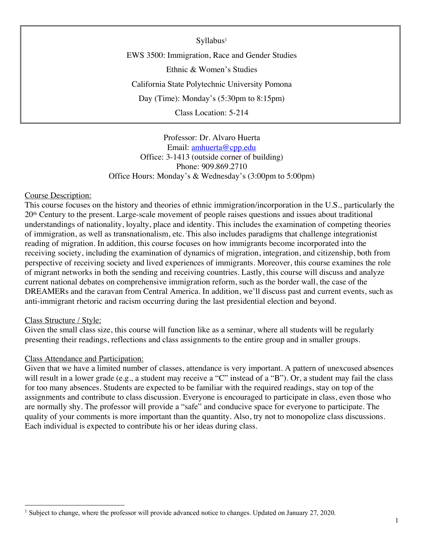Syllabus<sup>1</sup> EWS 3500: Immigration, Race and Gender Studies Ethnic & Women's Studies California State Polytechnic University Pomona Day (Time): Monday's (5:30pm to 8:15pm) Class Location: 5-214

Professor: Dr. Alvaro Huerta Email: amhuerta@cpp.edu Office: 3-1413 (outside corner of building) Phone: 909.869.2710 Office Hours: Monday's & Wednesday's (3:00pm to 5:00pm)

#### Course Description:

This course focuses on the history and theories of ethnic immigration/incorporation in the U.S., particularly the 20th Century to the present. Large-scale movement of people raises questions and issues about traditional understandings of nationality, loyalty, place and identity. This includes the examination of competing theories of immigration, as well as transnationalism, etc. This also includes paradigms that challenge integrationist reading of migration. In addition, this course focuses on how immigrants become incorporated into the receiving society, including the examination of dynamics of migration, integration, and citizenship, both from perspective of receiving society and lived experiences of immigrants. Moreover, this course examines the role of migrant networks in both the sending and receiving countries. Lastly, this course will discuss and analyze current national debates on comprehensive immigration reform, such as the border wall, the case of the DREAMERs and the caravan from Central America. In addition, we'll discuss past and current events, such as anti-immigrant rhetoric and racism occurring during the last presidential election and beyond.

#### Class Structure / Style:

Given the small class size, this course will function like as a seminar, where all students will be regularly presenting their readings, reflections and class assignments to the entire group and in smaller groups.

#### Class Attendance and Participation:

Given that we have a limited number of classes, attendance is very important. A pattern of unexcused absences will result in a lower grade (e.g., a student may receive a "C" instead of a "B"). Or, a student may fail the class for too many absences. Students are expected to be familiar with the required readings, stay on top of the assignments and contribute to class discussion. Everyone is encouraged to participate in class, even those who are normally shy. The professor will provide a "safe" and conducive space for everyone to participate. The quality of your comments is more important than the quantity. Also, try not to monopolize class discussions. Each individual is expected to contribute his or her ideas during class.

<sup>&</sup>lt;sup>1</sup> Subject to change, where the professor will provide advanced notice to changes. Updated on January 27, 2020.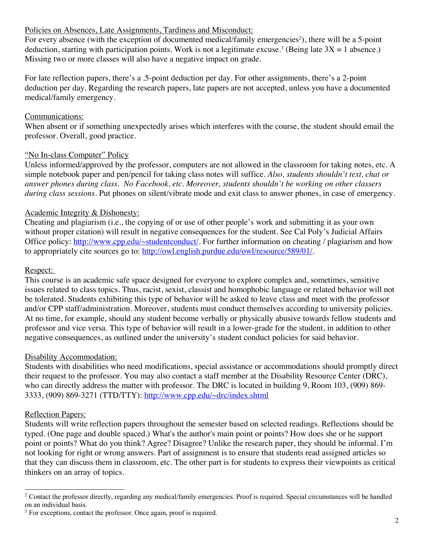## Policies on Absences, Late Assignments, Tardiness and Misconduct:

For every absence (with the exception of documented medical/family emergencies<sup>2</sup>), there will be a 5-point deduction, starting with participation points. Work is not a legitimate excuse.<sup>3</sup> (Being late  $3X = 1$  absence.) Missing two or more classes will also have a negative impact on grade.

For late reflection papers, there's a .5-point deduction per day. For other assignments, there's a 2-point deduction per day. Regarding the research papers, late papers are not accepted, unless you have a documented medical/family emergency.

## Communications:

When absent or if something unexpectedly arises which interferes with the course, the student should email the professor. Overall, good practice.

## "No In-class Computer" Policy

Unless informed/approved by the professor, computers are not allowed in the classroom for taking notes, etc. A simple notebook paper and pen/pencil for taking class notes will suffice. *Also, students shouldn't text, chat or answer phones during class. No Facebook, etc. Moreover, students shouldn't be working on other classers during class sessions.* Put phones on silent/vibrate mode and exit class to answer phones, in case of emergency.

## Academic Integrity & Dishonesty:

Cheating and plagiarism (i.e., the copying of or use of other people's work and submitting it as your own without proper citation) will result in negative consequences for the student. See Cal Poly's Judicial Affairs Office policy: http://www.cpp.edu/~studentconduct/. For further information on cheating / plagiarism and how to appropriately cite sources go to: http://owl.english.purdue.edu/owl/resource/589/01/.

## Respect:

This course is an academic safe space designed for everyone to explore complex and, sometimes, sensitive issues related to class topics. Thus, racist, sexist, classist and homophobic language or related behavior will not be tolerated. Students exhibiting this type of behavior will be asked to leave class and meet with the professor and/or CPP staff/administration. Moreover, students must conduct themselves according to university policies. At no time, for example, should any student become verbally or physically abusive towards fellow students and professor and vice versa. This type of behavior will result in a lower-grade for the student, in addition to other negative consequences, as outlined under the university's student conduct policies for said behavior.

# Disability Accommodation:

Students with disabilities who need modifications, special assistance or accommodations should promptly direct their request to the professor. You may also contact a staff member at the Disability Resource Center (DRC), who can directly address the matter with professor. The DRC is located in building 9, Room 103, (909) 869-3333, (909) 869-3271 (TTD/TTY): http://www.cpp.edu/~drc/index.shtml

# Reflection Papers:

Students will write reflection papers throughout the semester based on selected readings. Reflections should be typed. (One page and double spaced.) What's the author's main point or points? How does she or he support point or points? What do you think? Agree? Disagree? Unlike the research paper, they should be informal. I'm not looking for right or wrong answers. Part of assignment is to ensure that students read assigned articles so that they can discuss them in classroom, etc. The other part is for students to express their viewpoints as critical thinkers on an array of topics.

<sup>&</sup>lt;sup>2</sup> Contact the professor directly, regarding any medical/family emergencies. Proof is required. Special circumstances will be handled on an individual basis.

<sup>&</sup>lt;sup>3</sup> For exceptions, contact the professor. Once again, proof is required.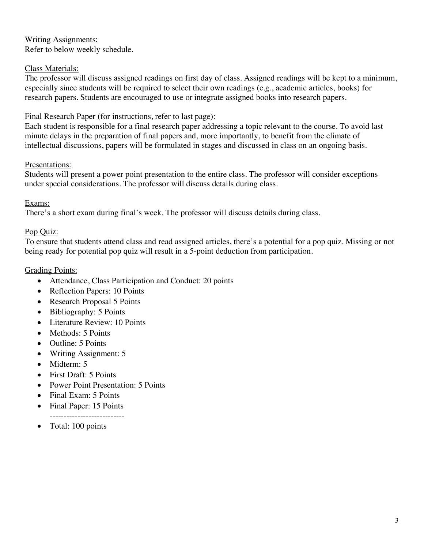# Writing Assignments:

Refer to below weekly schedule.

#### Class Materials:

The professor will discuss assigned readings on first day of class. Assigned readings will be kept to a minimum, especially since students will be required to select their own readings (e.g., academic articles, books) for research papers. Students are encouraged to use or integrate assigned books into research papers.

#### Final Research Paper (for instructions, refer to last page):

Each student is responsible for a final research paper addressing a topic relevant to the course. To avoid last minute delays in the preparation of final papers and, more importantly, to benefit from the climate of intellectual discussions, papers will be formulated in stages and discussed in class on an ongoing basis.

#### Presentations:

Students will present a power point presentation to the entire class. The professor will consider exceptions under special considerations. The professor will discuss details during class.

#### Exams:

There's a short exam during final's week. The professor will discuss details during class.

#### Pop Quiz:

To ensure that students attend class and read assigned articles, there's a potential for a pop quiz. Missing or not being ready for potential pop quiz will result in a 5-point deduction from participation.

#### Grading Points:

- Attendance, Class Participation and Conduct: 20 points
- Reflection Papers: 10 Points
- Research Proposal 5 Points
- Bibliography: 5 Points
- Literature Review: 10 Points
- Methods: 5 Points
- Outline: 5 Points
- Writing Assignment: 5
- Midterm: 5
- First Draft: 5 Points
- Power Point Presentation: 5 Points
- Final Exam: 5 Points
- Final Paper: 15 Points ---------------------------
- Total: 100 points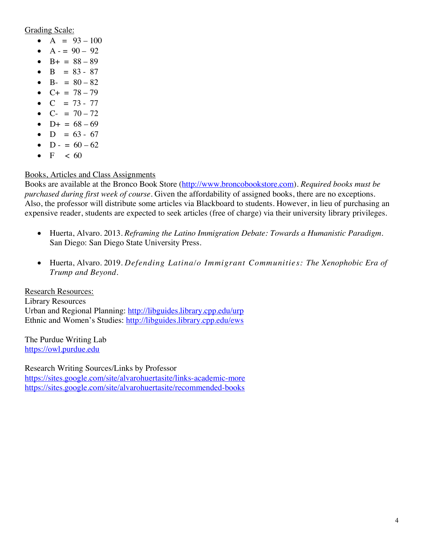Grading Scale:

- A =  $93 100$
- $A = 90 92$
- $B+ = 88 89$
- $B = 83 87$
- B- =  $80 82$
- $C_+ = 78 79$
- $C = 73 77$
- $C = 70 72$
- $D+ = 68 69$
- $D = 63 67$
- $D 60 62$
- $F \le 60$

# Books, Articles and Class Assignments

Books are available at the Bronco Book Store (http://www.broncobookstore.com). *Required books must be purchased during first week of course*. Given the affordability of assigned books, there are no exceptions. Also, the professor will distribute some articles via Blackboard to students. However, in lieu of purchasing an expensive reader, students are expected to seek articles (free of charge) via their university library privileges.

- Huerta, Alvaro. 2013. *Reframing the Latino Immigration Debate: Towards a Humanistic Paradigm*. San Diego: San Diego State University Press.
- Huerta, Alvaro. 2019. *Defending Latina/o Immigrant Communities: The Xenophobic Era of Trump and Beyond*.

Research Resources: Library Resources Urban and Regional Planning: http://libguides.library.cpp.edu/urp Ethnic and Women's Studies: http://libguides.library.cpp.edu/ews

The Purdue Writing Lab https://owl.purdue.edu

Research Writing Sources/Links by Professor https://sites.google.com/site/alvarohuertasite/links-academic-more https://sites.google.com/site/alvarohuertasite/recommended-books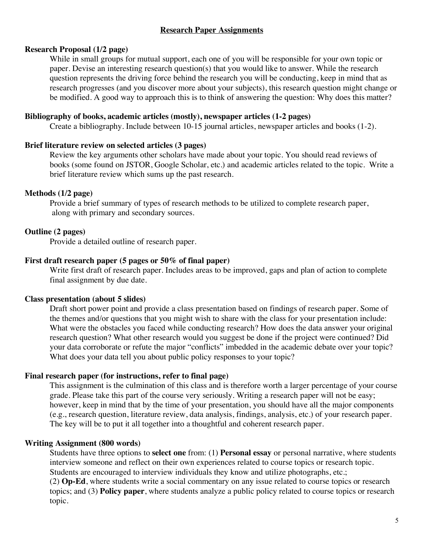## **Research Paper Assignments**

#### **Research Proposal (1/2 page)**

While in small groups for mutual support, each one of you will be responsible for your own topic or paper. Devise an interesting research question(s) that you would like to answer. While the research question represents the driving force behind the research you will be conducting, keep in mind that as research progresses (and you discover more about your subjects), this research question might change or be modified. A good way to approach this is to think of answering the question: Why does this matter?

#### **Bibliography of books, academic articles (mostly), newspaper articles (1-2 pages)**

Create a bibliography. Include between 10-15 journal articles, newspaper articles and books (1-2).

#### **Brief literature review on selected articles (3 pages)**

Review the key arguments other scholars have made about your topic. You should read reviews of books (some found on JSTOR, Google Scholar, etc.) and academic articles related to the topic. Write a brief literature review which sums up the past research.

## **Methods (1/2 page)**

Provide a brief summary of types of research methods to be utilized to complete research paper, along with primary and secondary sources.

## **Outline (2 pages)**

Provide a detailed outline of research paper.

#### **First draft research paper (5 pages or 50% of final paper)**

Write first draft of research paper. Includes areas to be improved, gaps and plan of action to complete final assignment by due date.

## **Class presentation (about 5 slides)**

Draft short power point and provide a class presentation based on findings of research paper. Some of the themes and/or questions that you might wish to share with the class for your presentation include: What were the obstacles you faced while conducting research? How does the data answer your original research question? What other research would you suggest be done if the project were continued? Did your data corroborate or refute the major "conflicts" imbedded in the academic debate over your topic? What does your data tell you about public policy responses to your topic?

## **Final research paper (for instructions, refer to final page)**

This assignment is the culmination of this class and is therefore worth a larger percentage of your course grade. Please take this part of the course very seriously. Writing a research paper will not be easy; however, keep in mind that by the time of your presentation, you should have all the major components (e.g., research question, literature review, data analysis, findings, analysis, etc.) of your research paper. The key will be to put it all together into a thoughtful and coherent research paper.

## **Writing Assignment (800 words)**

Students have three options to **select one** from: (1) **Personal essay** or personal narrative, where students interview someone and reflect on their own experiences related to course topics or research topic. Students are encouraged to interview individuals they know and utilize photographs, etc.;

(2) **Op-Ed**, where students write a social commentary on any issue related to course topics or research topics; and (3) **Policy paper**, where students analyze a public policy related to course topics or research topic.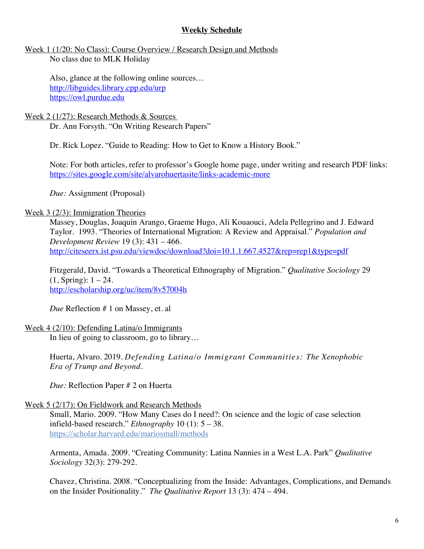## **Weekly Schedule**

#### Week 1 (1/20: No Class): Course Overview / Research Design and Methods No class due to MLK Holiday

Also, glance at the following online sources… http://libguides.library.cpp.edu/urp https://owl.purdue.edu

#### Week 2 (1/27): Research Methods & Sources Dr. Ann Forsyth. "On Writing Research Papers"

Dr. Rick Lopez. "Guide to Reading: How to Get to Know a History Book."

Note: For both articles, refer to professor's Google home page, under writing and research PDF links: https://sites.google.com/site/alvarohuertasite/links-academic-more

*Due:* Assignment (Proposal)

## Week 3 (2/3): Immigration Theories

Massey, Douglas, Joaquin Arango, Graeme Hugo, Ali Kouaouci, Adela Pellegrino and J. Edward Taylor. 1993. "Theories of International Migration: A Review and Appraisal." *Population and Development Review* 19 (3): 431 – 466. http://citeseerx.ist.psu.edu/viewdoc/download?doi=10.1.1.667.4527&rep=rep1&type=pdf

Fitzgerald, David. "Towards a Theoretical Ethnography of Migration." *Qualitative Sociology* 29  $(1, Spring): 1 - 24.$ http://escholarship.org/uc/item/8v57004h

*Due* Reflection # 1 on Massey, et. al

#### Week 4 (2/10): Defending Latina/o Immigrants

In lieu of going to classroom, go to library…

Huerta, Alvaro. 2019. *Defending Latina/o Immigrant Communities: The Xenophobic Era of Trump and Beyond*.

*Due:* Reflection Paper # 2 on Huerta

## Week 5 (2/17): On Fieldwork and Research Methods

Small, Mario. 2009. "How Many Cases do I need?: On science and the logic of case selection infield-based research." *Ethnography* 10 (1): 5 – 38. https://scholar.harvard.edu/mariosmall/methods

Armenta, Amada. 2009. "Creating Community: Latina Nannies in a West L.A. Park" *Qualitative Sociology* 32(3): 279-292.

Chavez, Christina. 2008. "Conceptualizing from the Inside: Advantages, Complications, and Demands on the Insider Positionality." *The Qualitative Report* 13 (3): 474 – 494.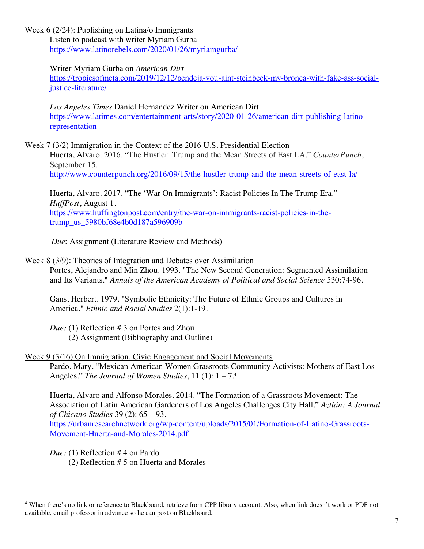Week 6 (2/24): Publishing on Latina/o Immigrants

Listen to podcast with writer Myriam Gurba https://www.latinorebels.com/2020/01/26/myriamgurba/

#### Writer Myriam Gurba on *American Dirt*

https://tropicsofmeta.com/2019/12/12/pendeja-you-aint-steinbeck-my-bronca-with-fake-ass-socialjustice-literature/

*Los Angeles Times* Daniel Hernandez Writer on American Dirt https://www.latimes.com/entertainment-arts/story/2020-01-26/american-dirt-publishing-latinorepresentation

Week 7 (3/2) Immigration in the Context of the 2016 U.S. Presidential Election

Huerta, Alvaro. 2016. "The Hustler: Trump and the Mean Streets of East LA." *CounterPunch*, September 15.

http://www.counterpunch.org/2016/09/15/the-hustler-trump-and-the-mean-streets-of-east-la/

Huerta, Alvaro. 2017. "The 'War On Immigrants': Racist Policies In The Trump Era." *HuffPost*, August 1. https://www.huffingtonpost.com/entry/the-war-on-immigrants-racist-policies-in-thetrump\_us\_5980bf68e4b0d187a596909b

 *Due*: Assignment (Literature Review and Methods)

#### Week 8 (3/9): Theories of Integration and Debates over Assimilation

Portes, Alejandro and Min Zhou. 1993. "The New Second Generation: Segmented Assimilation and Its Variants." *Annals of the American Academy of Political and Social Science* 530:74-96.

Gans, Herbert. 1979. "Symbolic Ethnicity: The Future of Ethnic Groups and Cultures in America." *Ethnic and Racial Studies* 2(1):1-19.

*Due:* (1) Reflection # 3 on Portes and Zhou (2) Assignment (Bibliography and Outline)

## Week 9 (3/16) On Immigration, Civic Engagement and Social Movements

Pardo, Mary. "Mexican American Women Grassroots Community Activists: Mothers of East Los Angeles." *The Journal of Women Studies*, 11 (1): 1 – 7.4

Huerta, Alvaro and Alfonso Morales. 2014. "The Formation of a Grassroots Movement: The Association of Latin American Gardeners of Los Angeles Challenges City Hall." *Aztlán: A Journal of Chicano Studies* 39 (2): 65 – 93.

https://urbanresearchnetwork.org/wp-content/uploads/2015/01/Formation-of-Latino-Grassroots-Movement-Huerta-and-Morales-2014.pdf

*Due:* (1) Reflection # 4 on Pardo

(2) Reflection # 5 on Huerta and Morales

 <sup>4</sup> When there's no link or reference to Blackboard, retrieve from CPP library account. Also, when link doesn't work or PDF not available, email professor in advance so he can post on Blackboard.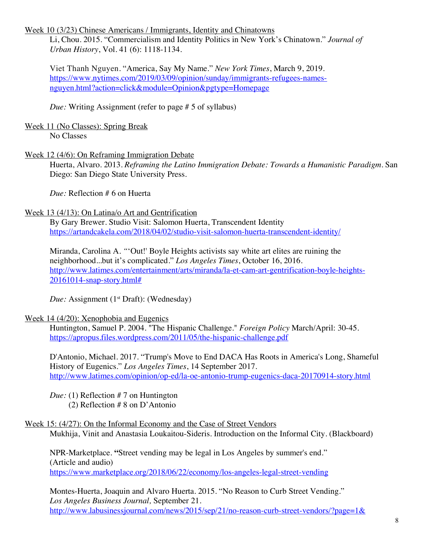Week 10 (3/23) Chinese Americans / Immigrants, Identity and Chinatowns

Li, Chou. 2015. "Commercialism and Identity Politics in New York's Chinatown." *Journal of Urban History*, Vol. 41 (6): 1118-1134.

Viet Thanh Nguyen. "America, Say My Name." *New York Times*, March 9, 2019. https://www.nytimes.com/2019/03/09/opinion/sunday/immigrants-refugees-namesnguyen.html?action=click&module=Opinion&pgtype=Homepage

*Due:* Writing Assignment (refer to page # 5 of syllabus)

Week 11 (No Classes): Spring Break No Classes

## Week 12 (4/6): On Reframing Immigration Debate

Huerta, Alvaro. 2013. *Reframing the Latino Immigration Debate: Towards a Humanistic Paradigm*. San Diego: San Diego State University Press.

*Due:* Reflection # 6 on Huerta

## Week 13 (4/13): On Latina/o Art and Gentrification

By Gary Brewer. Studio Visit: Salomon Huerta, Transcendent Identity https://artandcakela.com/2018/04/02/studio-visit-salomon-huerta-transcendent-identity/

Miranda, Carolina A. *"*'Out!' Boyle Heights activists say white art elites are ruining the neighborhood...but it's complicated." *Los Angeles Times*, October 16, 2016. http://www.latimes.com/entertainment/arts/miranda/la-et-cam-art-gentrification-boyle-heights-20161014-snap-story.html#

*Due:* Assignment (1<sup>st</sup> Draft): (Wednesday)

# Week 14 (4/20): Xenophobia and Eugenics

Huntington, Samuel P. 2004. "The Hispanic Challenge." *Foreign Policy* March/April: 30-45. https://apropus.files.wordpress.com/2011/05/the-hispanic-challenge.pdf

D'Antonio, Michael. 2017. "Trump's Move to End DACA Has Roots in America's Long, Shameful History of Eugenics." *Los Angeles Times*, 14 September 2017. http://www.latimes.com/opinion/op-ed/la-oe-antonio-trump-eugenics-daca-20170914-story.html

*Due:* (1) Reflection # 7 on Huntington (2) Reflection # 8 on D'Antonio

Week 15: (4/27): On the Informal Economy and the Case of Street Vendors Mukhija, Vinit and Anastasia Loukaitou-Sideris. Introduction on the Informal City. (Blackboard)

NPR-Marketplace. **"**Street vending may be legal in Los Angeles by summer's end." (Article and audio) https://www.marketplace.org/2018/06/22/economy/los-angeles-legal-street-vending

Montes-Huerta, Joaquin and Alvaro Huerta. 2015. "No Reason to Curb Street Vending." *Los Angeles Business Journal,* September 21. http://www.labusinessjournal.com/news/2015/sep/21/no-reason-curb-street-vendors/?page=1&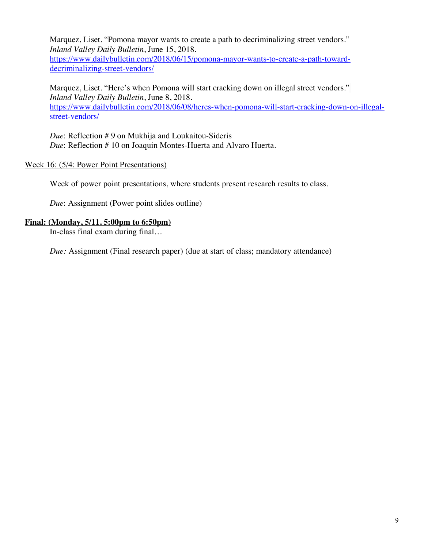Marquez, Liset. "Pomona mayor wants to create a path to decriminalizing street vendors." *Inland Valley Daily Bulletin*, June 15, 2018.

https://www.dailybulletin.com/2018/06/15/pomona-mayor-wants-to-create-a-path-towarddecriminalizing-street-vendors/

Marquez, Liset. "Here's when Pomona will start cracking down on illegal street vendors." *Inland Valley Daily Bulletin*, June 8, 2018. https://www.dailybulletin.com/2018/06/08/heres-when-pomona-will-start-cracking-down-on-illegalstreet-vendors/

*Due*: Reflection # 9 on Mukhija and Loukaitou-Sideris *Due*: Reflection # 10 on Joaquin Montes-Huerta and Alvaro Huerta.

#### Week 16: (5/4: Power Point Presentations)

Week of power point presentations, where students present research results to class.

*Due*: Assignment (Power point slides outline)

#### **Final: (Monday, 5/11. 5:00pm to 6:50pm)**

In-class final exam during final…

*Due:* Assignment (Final research paper) (due at start of class; mandatory attendance)